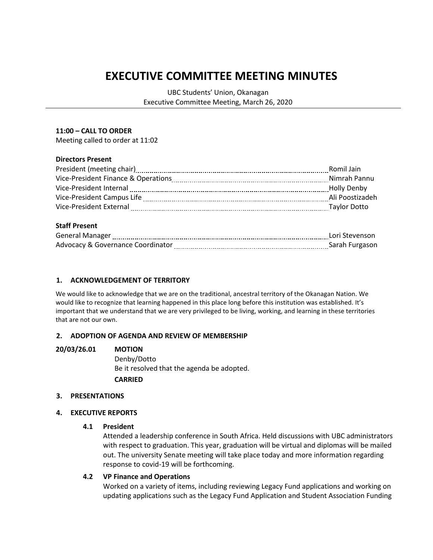# **EXECUTIVE COMMITTEE MEETING MINUTES**

UBC Students' Union, Okanagan Executive Committee Meeting, March 26, 2020

#### **11:00 – CALL TO ORDER**

Meeting called to order at 11:02

#### **Directors Present**

| Romil Jain      |
|-----------------|
| Nimrah Pannu    |
| Holly Denby     |
| Ali Poostizadeh |
| Taylor Dotto    |
|                 |

## **Staff Present**

| <b>General Manager</b>            | Lori Stevenson |
|-----------------------------------|----------------|
| Advocacy & Governance Coordinator | Sarah Furgason |

## **1. ACKNOWLEDGEMENT OF TERRITORY**

We would like to acknowledge that we are on the traditional, ancestral territory of the Okanagan Nation. We would like to recognize that learning happened in this place long before this institution was established. It's important that we understand that we are very privileged to be living, working, and learning in these territories that are not our own.

## **2. ADOPTION OF AGENDA AND REVIEW OF MEMBERSHIP**

## **20/03/26.01 MOTION**

Denby/Dotto Be it resolved that the agenda be adopted. **CARRIED**

## **3. PRESENTATIONS**

#### **4. EXECUTIVE REPORTS**

#### **4.1 President**

Attended a leadership conference in South Africa. Held discussions with UBC administrators with respect to graduation. This year, graduation will be virtual and diplomas will be mailed out. The university Senate meeting will take place today and more information regarding response to covid-19 will be forthcoming.

#### **4.2 VP Finance and Operations**

Worked on a variety of items, including reviewing Legacy Fund applications and working on updating applications such as the Legacy Fund Application and Student Association Funding